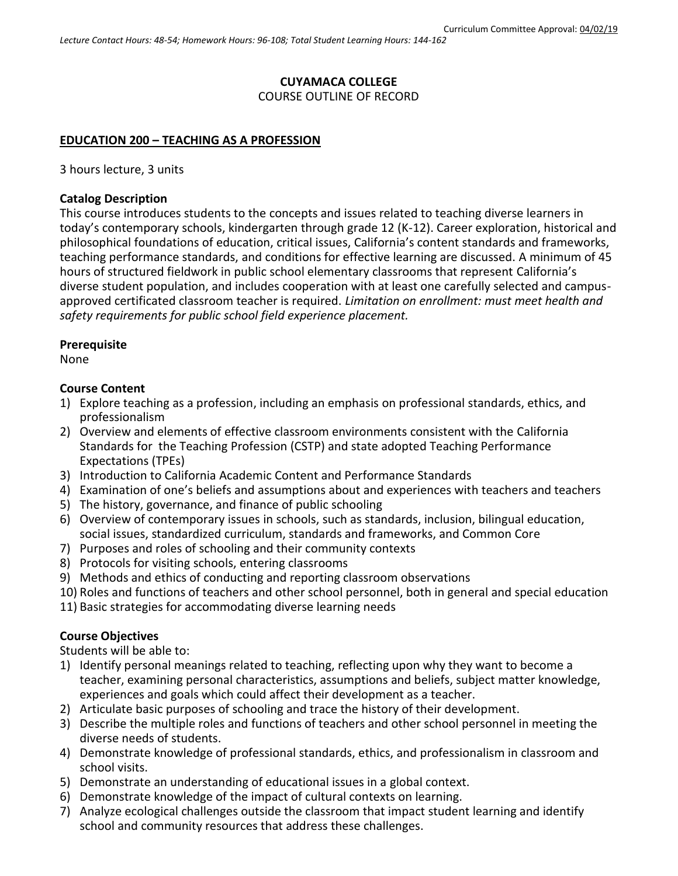# **CUYAMACA COLLEGE**

COURSE OUTLINE OF RECORD

#### **EDUCATION 200 – TEACHING AS A PROFESSION**

3 hours lecture, 3 units

#### **Catalog Description**

This course introduces students to the concepts and issues related to teaching diverse learners in today's contemporary schools, kindergarten through grade 12 (K-12). Career exploration, historical and philosophical foundations of education, critical issues, California's content standards and frameworks, teaching performance standards, and conditions for effective learning are discussed. A minimum of 45 hours of structured fieldwork in public school elementary classrooms that represent California's diverse student population, and includes cooperation with at least one carefully selected and campusapproved certificated classroom teacher is required. *Limitation on enrollment: must meet health and safety requirements for public school field experience placement.*

#### **Prerequisite**

None

#### **Course Content**

- 1) Explore teaching as a profession, including an emphasis on professional standards, ethics, and professionalism
- 2) Overview and elements of effective classroom environments consistent with the California Standards for the Teaching Profession (CSTP) and state adopted Teaching Performance Expectations (TPEs)
- 3) Introduction to California Academic Content and Performance Standards
- 4) Examination of one's beliefs and assumptions about and experiences with teachers and teachers
- 5) The history, governance, and finance of public schooling
- 6) Overview of contemporary issues in schools, such as standards, inclusion, bilingual education, social issues, standardized curriculum, standards and frameworks, and Common Core
- 7) Purposes and roles of schooling and their community contexts
- 8) Protocols for visiting schools, entering classrooms
- 9) Methods and ethics of conducting and reporting classroom observations
- 10) Roles and functions of teachers and other school personnel, both in general and special education
- 11) Basic strategies for accommodating diverse learning needs

## **Course Objectives**

Students will be able to:

- 1) Identify personal meanings related to teaching, reflecting upon why they want to become a teacher, examining personal characteristics, assumptions and beliefs, subject matter knowledge, experiences and goals which could affect their development as a teacher.
- 2) Articulate basic purposes of schooling and trace the history of their development.
- 3) Describe the multiple roles and functions of teachers and other school personnel in meeting the diverse needs of students.
- 4) Demonstrate knowledge of professional standards, ethics, and professionalism in classroom and school visits.
- 5) Demonstrate an understanding of educational issues in a global context.
- 6) Demonstrate knowledge of the impact of cultural contexts on learning.
- 7) Analyze ecological challenges outside the classroom that impact student learning and identify school and community resources that address these challenges.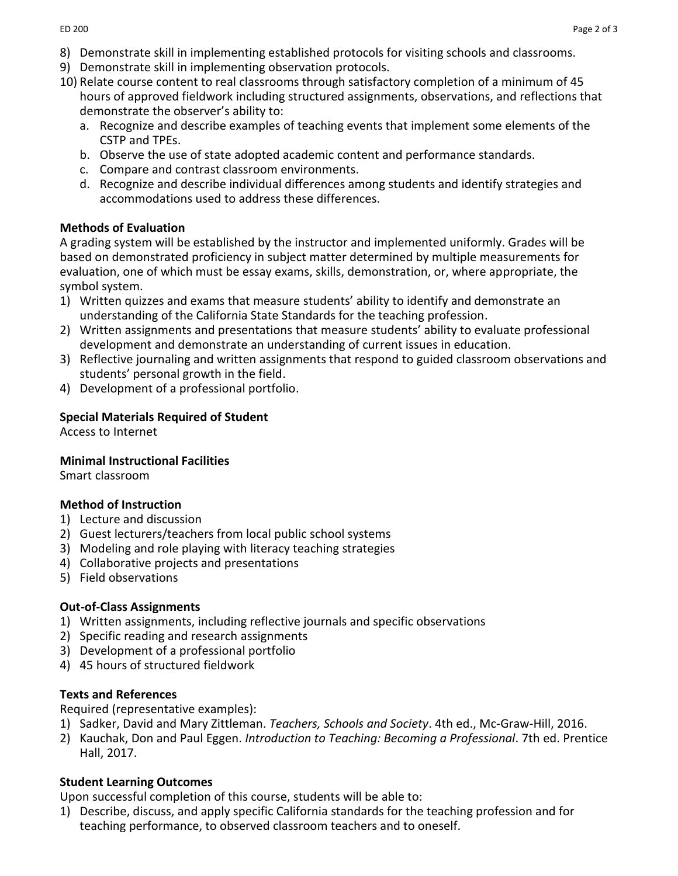- 8) Demonstrate skill in implementing established protocols for visiting schools and classrooms.
- 9) Demonstrate skill in implementing observation protocols.
- 10) Relate course content to real classrooms through satisfactory completion of a minimum of 45 hours of approved fieldwork including structured assignments, observations, and reflections that demonstrate the observer's ability to:
	- a. Recognize and describe examples of teaching events that implement some elements of the CSTP and TPEs.
	- b. Observe the use of state adopted academic content and performance standards.
	- c. Compare and contrast classroom environments.
	- d. Recognize and describe individual differences among students and identify strategies and accommodations used to address these differences.

#### **Methods of Evaluation**

A grading system will be established by the instructor and implemented uniformly. Grades will be based on demonstrated proficiency in subject matter determined by multiple measurements for evaluation, one of which must be essay exams, skills, demonstration, or, where appropriate, the symbol system.

- 1) Written quizzes and exams that measure students' ability to identify and demonstrate an understanding of the California State Standards for the teaching profession.
- 2) Written assignments and presentations that measure students' ability to evaluate professional development and demonstrate an understanding of current issues in education.
- 3) Reflective journaling and written assignments that respond to guided classroom observations and students' personal growth in the field.
- 4) Development of a professional portfolio.

## **Special Materials Required of Student**

Access to Internet

#### **Minimal Instructional Facilities**

Smart classroom

## **Method of Instruction**

- 1) Lecture and discussion
- 2) Guest lecturers/teachers from local public school systems
- 3) Modeling and role playing with literacy teaching strategies
- 4) Collaborative projects and presentations
- 5) Field observations

## **Out-of-Class Assignments**

- 1) Written assignments, including reflective journals and specific observations
- 2) Specific reading and research assignments
- 3) Development of a professional portfolio
- 4) 45 hours of structured fieldwork

## **Texts and References**

Required (representative examples):

- 1) Sadker, David and Mary Zittleman. *Teachers, Schools and Society*. 4th ed., Mc-Graw-Hill, 2016.
- 2) Kauchak, Don and Paul Eggen. *Introduction to Teaching: Becoming a Professional*. 7th ed. Prentice Hall, 2017.

## **Student Learning Outcomes**

Upon successful completion of this course, students will be able to:

1) Describe, discuss, and apply specific California standards for the teaching profession and for teaching performance, to observed classroom teachers and to oneself.